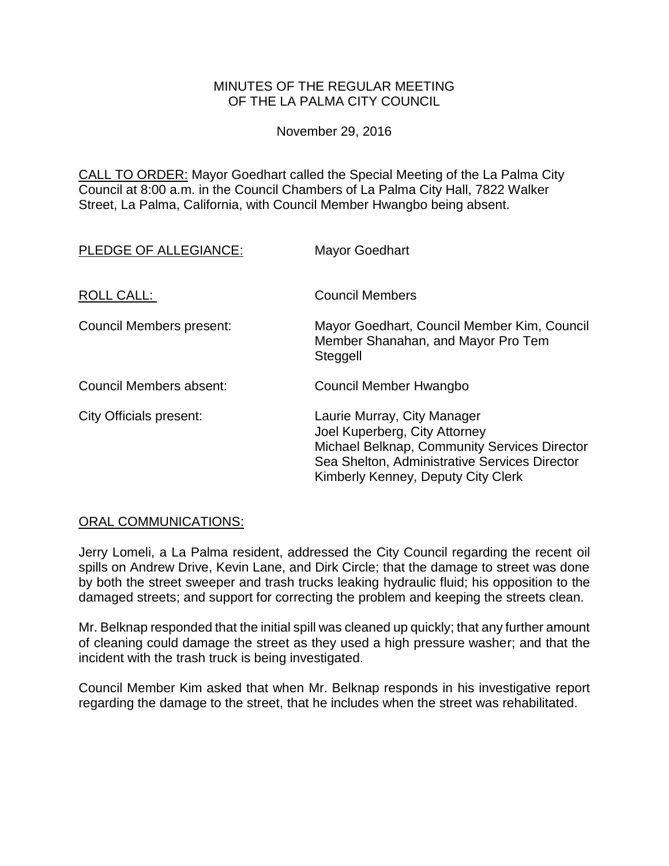### MINUTES OF THE REGULAR MEETING OF THE LA PALMA CITY COUNCIL

November 29, 2016

CALL TO ORDER: [Mayor Goedhart called the Special Meeting of the La Palma City](http://lapalma.granicus.com/MediaPlayer.php?view_id=&clip_id=1043&meta_id=137376)  [Council at 8:00 a.m. in the Council Chambers of La Palma City Hall, 7822 Walker](http://lapalma.granicus.com/MediaPlayer.php?view_id=&clip_id=1043&meta_id=137376)  [Street, La Palma, California, with Council Member Hwangbo being absent.](http://lapalma.granicus.com/MediaPlayer.php?view_id=&clip_id=1043&meta_id=137376)

| PLEDGE OF ALLEGIANCE:    | <b>Mayor Goedhart</b>                                                                                                                                                                               |
|--------------------------|-----------------------------------------------------------------------------------------------------------------------------------------------------------------------------------------------------|
| ROLL CALL:               | <b>Council Members</b>                                                                                                                                                                              |
| Council Members present: | Mayor Goedhart, Council Member Kim, Council<br>Member Shanahan, and Mayor Pro Tem<br>Steggell                                                                                                       |
| Council Members absent:  | Council Member Hwangbo                                                                                                                                                                              |
| City Officials present:  | Laurie Murray, City Manager<br>Joel Kuperberg, City Attorney<br>Michael Belknap, Community Services Director<br>Sea Shelton, Administrative Services Director<br>Kimberly Kenney, Deputy City Clerk |

### [ORAL COMMUNICATIONS:](http://lapalma.granicus.com/MediaPlayer.php?view_id=&clip_id=1043&meta_id=137379)

Jerry Lomeli, a La Palma resident, addressed the City Council regarding the recent oil spills on Andrew Drive, Kevin Lane, and Dirk Circle; that the damage to street was done by both the street sweeper and trash trucks leaking hydraulic fluid; his opposition to the damaged streets; and support for correcting the problem and keeping the streets clean.

Mr. Belknap responded that the initial spill was cleaned up quickly; that any further amount of cleaning could damage the street as they used a high pressure washer; and that the incident with the trash truck is being investigated.

Council Member Kim asked that when Mr. Belknap responds in his investigative report regarding the damage to the street, that he includes when the street was rehabilitated.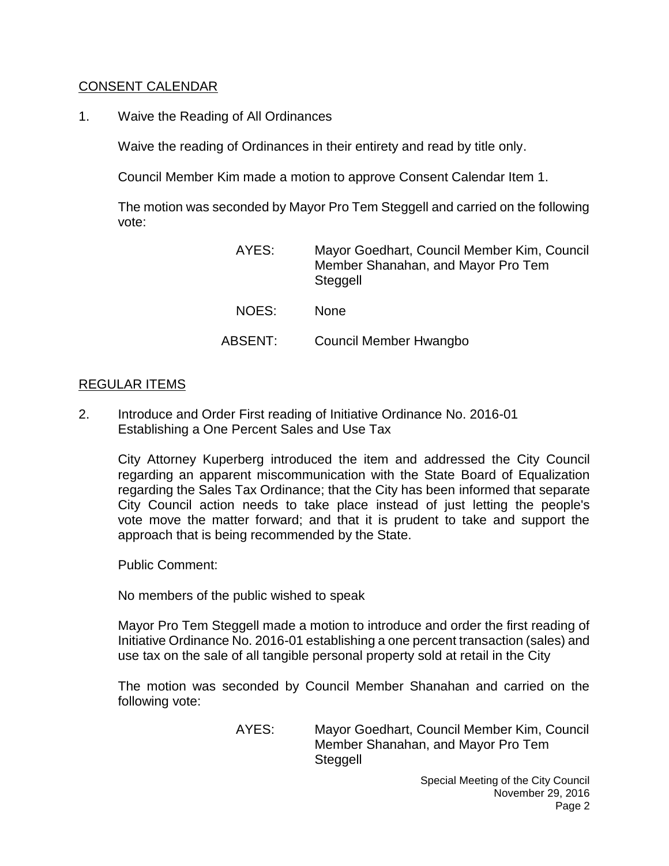## [CONSENT CALENDAR](http://lapalma.granicus.com/MediaPlayer.php?view_id=&clip_id=1043&meta_id=137383)

1. Waive the Reading of All Ordinances

Waive the reading of Ordinances in their entirety and read by title only.

Council Member Kim made a motion to approve Consent Calendar Item 1.

The motion was seconded by Mayor Pro Tem Steggell and carried on the following vote:

| AYES:   | Mayor Goedhart, Council Member Kim, Council<br>Member Shanahan, and Mayor Pro Tem<br>Steggell |
|---------|-----------------------------------------------------------------------------------------------|
| NOES:   | <b>None</b>                                                                                   |
| ABSENT: | Council Member Hwangbo                                                                        |

### [REGULAR ITEMS](http://lapalma.granicus.com/MediaPlayer.php?view_id=&clip_id=1043&meta_id=137385)

2. [Introduce and Order First reading of Initiative Ordinance No. 2016-01](http://lapalma.granicus.com/MediaPlayer.php?view_id=&clip_id=1043&meta_id=137386)  [Establishing a One Percent Sales and Use Tax](http://lapalma.granicus.com/MediaPlayer.php?view_id=&clip_id=1043&meta_id=137386)

City Attorney Kuperberg introduced the item and addressed the City Council regarding an apparent miscommunication with the State Board of Equalization regarding the Sales Tax Ordinance; that the City has been informed that separate City Council action needs to take place instead of just letting the people's vote move the matter forward; and that it is prudent to take and support the approach that is being recommended by the State.

Public Comment:

No members of the public wished to speak

Mayor Pro Tem Steggell made a motion to introduce and order the first reading of Initiative Ordinance No. 2016-01 establishing a one percent transaction (sales) and use tax on the sale of all tangible personal property sold at retail in the City

The motion was seconded by Council Member Shanahan and carried on the following vote:

> AYES: Mayor Goedhart, Council Member Kim, Council Member Shanahan, and Mayor Pro Tem Steggell

> > Special Meeting of the City Council November 29, 2016 Page 2